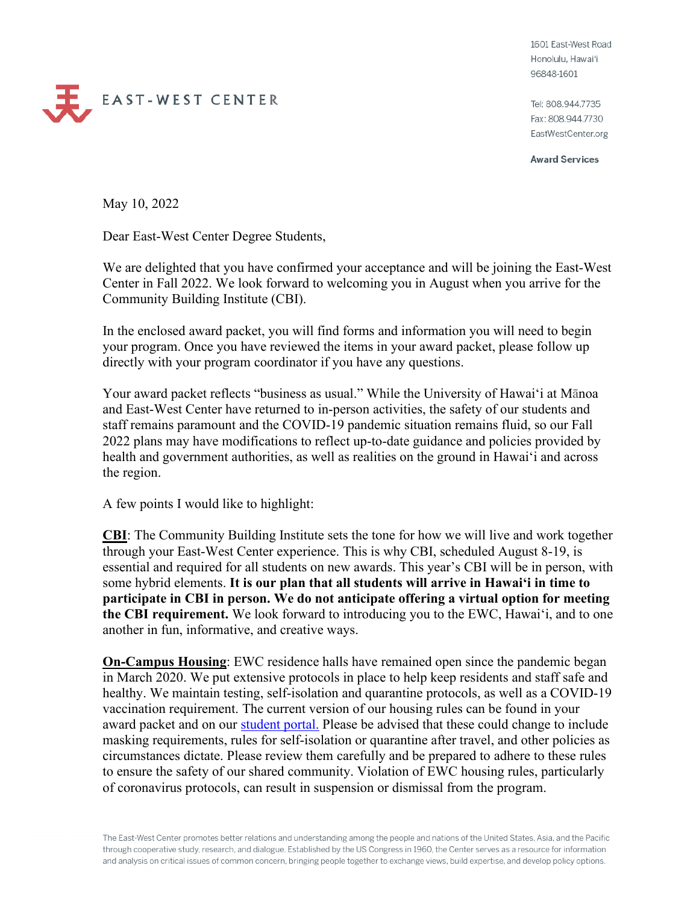1601 East-West Road Honolulu, Hawai'i 96848-1601

Tel: 808.944.7735 Fax: 808.944.7730 EastWestCenter.org

**Award Services** 

May 10, 2022

EAST-WEST CENTER

Dear East-West Center Degree Students,

We are delighted that you have confirmed your acceptance and will be joining the East-West Center in Fall 2022. We look forward to welcoming you in August when you arrive for the Community Building Institute (CBI).

In the enclosed award packet, you will find forms and information you will need to begin your program. Once you have reviewed the items in your award packet, please follow up directly with your program coordinator if you have any questions.

Your award packet reflects "business as usual." While the University of Hawai'i at Mānoa and East-West Center have returned to in-person activities, the safety of our students and staff remains paramount and the COVID-19 pandemic situation remains fluid, so our Fall 2022 plans may have modifications to reflect up-to-date guidance and policies provided by health and government authorities, as well as realities on the ground in Hawai'i and across the region.

A few points I would like to highlight:

**CBI**: The Community Building Institute sets the tone for how we will live and work together through your East-West Center experience. This is why CBI, scheduled August 8-19, is essential and required for all students on new awards. This year's CBI will be in person, with some hybrid elements. **It is our plan that all students will arrive in Hawai'i in time to participate in CBI in person. We do not anticipate offering a virtual option for meeting the CBI requirement.** We look forward to introducing you to the EWC, Hawai'i, and to one another in fun, informative, and creative ways.

**On-Campus Housing**: EWC residence halls have remained open since the pandemic began in March 2020. We put extensive protocols in place to help keep residents and staff safe and healthy. We maintain testing, self-isolation and quarantine protocols, as well as a COVID-19 vaccination requirement. The current version of our housing rules can be found in your award packet and on our [student portal.](https://ewcparticipantinfo.org/covid-19/) Please be advised that these could change to include masking requirements, rules for self-isolation or quarantine after travel, and other policies as circumstances dictate. Please review them carefully and be prepared to adhere to these rules to ensure the safety of our shared community. Violation of EWC housing rules, particularly of coronavirus protocols, can result in suspension or dismissal from the program.

The East-West Center promotes better relations and understanding among the people and nations of the United States, Asia, and the Pacific through cooperative study, research, and dialogue. Established by the US Congress in 1960, the Center serves as a resource for information and analysis on critical issues of common concern, bringing people together to exchange views, build expertise, and develop policy options.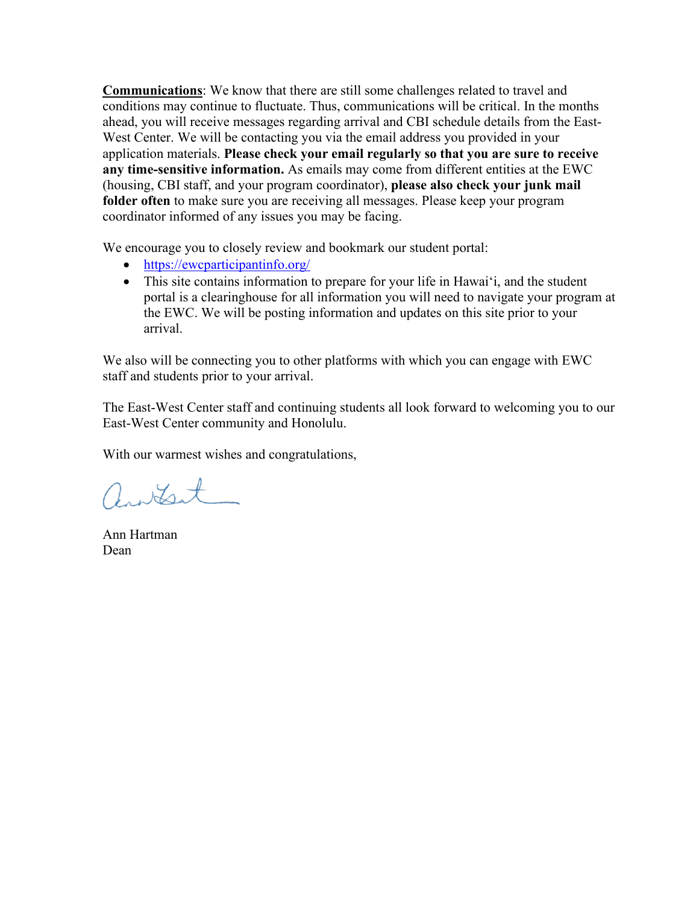**Communications**: We know that there are still some challenges related to travel and conditions may continue to fluctuate. Thus, communications will be critical. In the months ahead, you will receive messages regarding arrival and CBI schedule details from the East-West Center. We will be contacting you via the email address you provided in your application materials. **Please check your email regularly so that you are sure to receive any time-sensitive information.** As emails may come from different entities at the EWC (housing, CBI staff, and your program coordinator), **please also check your junk mail folder often** to make sure you are receiving all messages. Please keep your program coordinator informed of any issues you may be facing.

We encourage you to closely review and bookmark our student portal:

- <https://ewcparticipantinfo.org/>
- This site contains information to prepare for your life in Hawai'i, and the student portal is a clearinghouse for all information you will need to navigate your program at the EWC. We will be posting information and updates on this site prior to your arrival.

We also will be connecting you to other platforms with which you can engage with EWC staff and students prior to your arrival.

The East-West Center staff and continuing students all look forward to welcoming you to our East-West Center community and Honolulu.

With our warmest wishes and congratulations,

antest

Ann Hartman Dean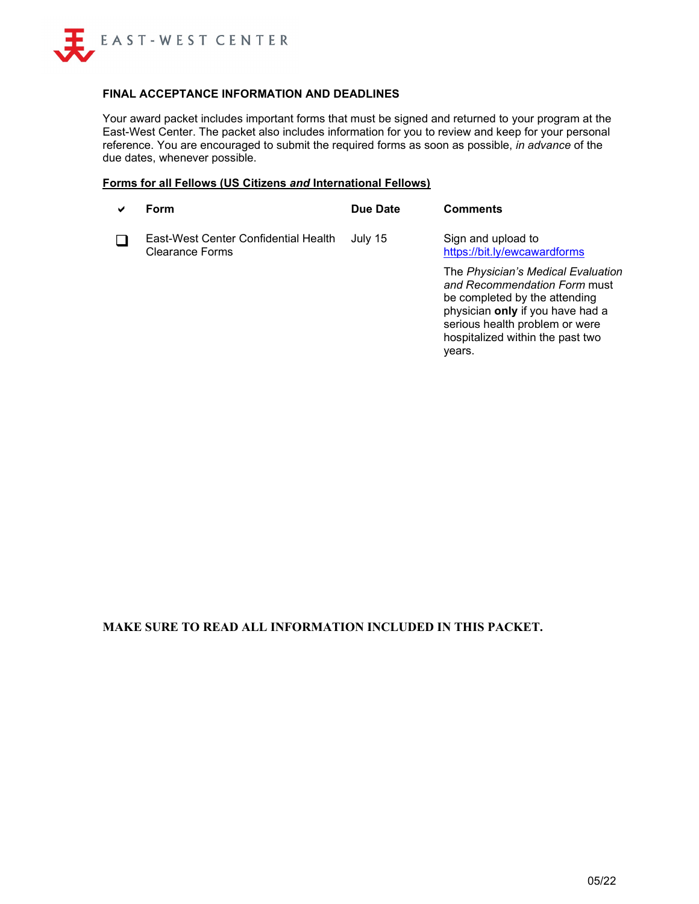

#### **FINAL ACCEPTANCE INFORMATION AND DEADLINES**

Your award packet includes important forms that must be signed and returned to your program at the East-West Center. The packet also includes information for you to review and keep for your personal reference. You are encouraged to submit the required forms as soon as possible, *in advance* of the due dates, whenever possible.

#### **Forms for all Fellows (US Citizens** *and* **International Fellows)**

| $\checkmark$ | Form                                                    | Due Date | <b>Comments</b>                                                                                                                         |
|--------------|---------------------------------------------------------|----------|-----------------------------------------------------------------------------------------------------------------------------------------|
|              | East-West Center Confidential Health<br>Clearance Forms | July 15  | Sign and upload to<br>https://bit.ly/ewcawardforms                                                                                      |
|              |                                                         |          | The Physician's Medical Evaluation<br>and Recommendation Form must<br>be completed by the attending<br>physician only if you have had a |

serious health problem or were hospitalized within the past two

years.

**MAKE SURE TO READ ALL INFORMATION INCLUDED IN THIS PACKET.**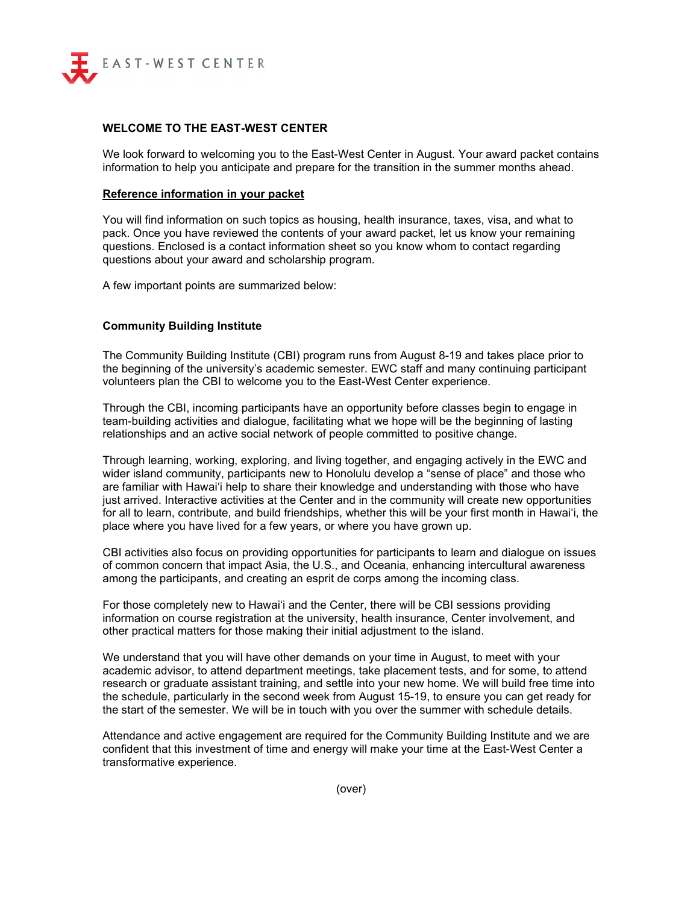

#### **WELCOME TO THE EAST-WEST CENTER**

We look forward to welcoming you to the East-West Center in August. Your award packet contains information to help you anticipate and prepare for the transition in the summer months ahead.

#### **Reference information in your packet**

You will find information on such topics as housing, health insurance, taxes, visa, and what to pack. Once you have reviewed the contents of your award packet, let us know your remaining questions. Enclosed is a contact information sheet so you know whom to contact regarding questions about your award and scholarship program.

A few important points are summarized below:

#### **Community Building Institute**

The Community Building Institute (CBI) program runs from August 8-19 and takes place prior to the beginning of the university's academic semester. EWC staff and many continuing participant volunteers plan the CBI to welcome you to the East-West Center experience.

Through the CBI, incoming participants have an opportunity before classes begin to engage in team-building activities and dialogue, facilitating what we hope will be the beginning of lasting relationships and an active social network of people committed to positive change.

Through learning, working, exploring, and living together, and engaging actively in the EWC and wider island community, participants new to Honolulu develop a "sense of place" and those who are familiar with Hawai'i help to share their knowledge and understanding with those who have just arrived. Interactive activities at the Center and in the community will create new opportunities for all to learn, contribute, and build friendships, whether this will be your first month in Hawai'i, the place where you have lived for a few years, or where you have grown up.

CBI activities also focus on providing opportunities for participants to learn and dialogue on issues of common concern that impact Asia, the U.S., and Oceania, enhancing intercultural awareness among the participants, and creating an esprit de corps among the incoming class.

For those completely new to Hawai'i and the Center, there will be CBI sessions providing information on course registration at the university, health insurance, Center involvement, and other practical matters for those making their initial adjustment to the island.

We understand that you will have other demands on your time in August, to meet with your academic advisor, to attend department meetings, take placement tests, and for some, to attend research or graduate assistant training, and settle into your new home. We will build free time into the schedule, particularly in the second week from August 15-19, to ensure you can get ready for the start of the semester. We will be in touch with you over the summer with schedule details.

Attendance and active engagement are required for the Community Building Institute and we are confident that this investment of time and energy will make your time at the East-West Center a transformative experience.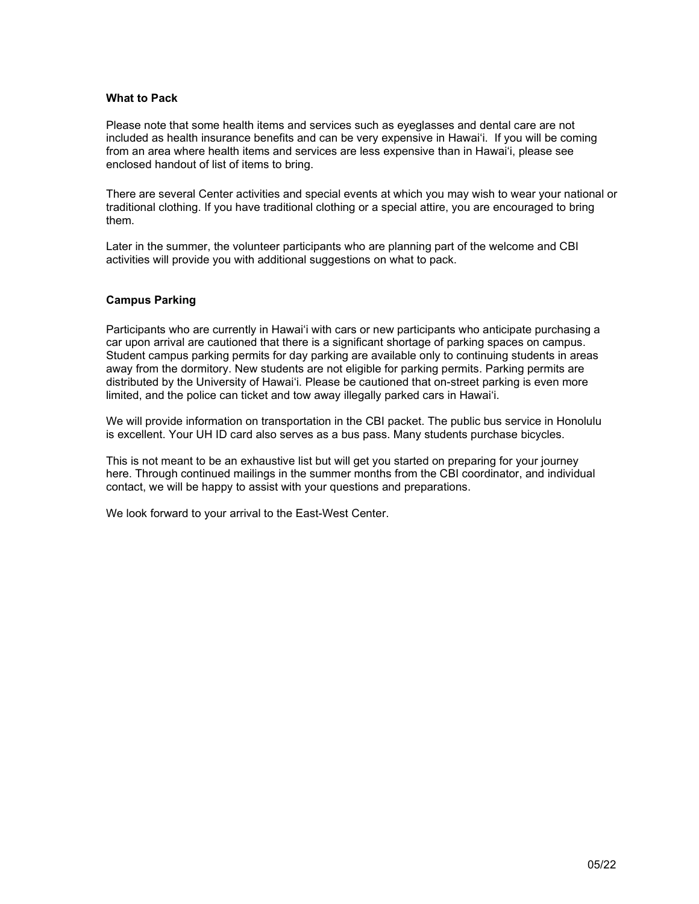#### **What to Pack**

Please note that some health items and services such as eyeglasses and dental care are not included as health insurance benefits and can be very expensive in Hawai'i. If you will be coming from an area where health items and services are less expensive than in Hawai'i, please see enclosed handout of list of items to bring.

There are several Center activities and special events at which you may wish to wear your national or traditional clothing. If you have traditional clothing or a special attire, you are encouraged to bring them.

Later in the summer, the volunteer participants who are planning part of the welcome and CBI activities will provide you with additional suggestions on what to pack.

#### **Campus Parking**

Participants who are currently in Hawai'i with cars or new participants who anticipate purchasing a car upon arrival are cautioned that there is a significant shortage of parking spaces on campus. Student campus parking permits for day parking are available only to continuing students in areas away from the dormitory. New students are not eligible for parking permits. Parking permits are distributed by the University of Hawai'i. Please be cautioned that on-street parking is even more limited, and the police can ticket and tow away illegally parked cars in Hawai'i.

We will provide information on transportation in the CBI packet. The public bus service in Honolulu is excellent. Your UH ID card also serves as a bus pass. Many students purchase bicycles.

This is not meant to be an exhaustive list but will get you started on preparing for your journey here. Through continued mailings in the summer months from the CBI coordinator, and individual contact, we will be happy to assist with your questions and preparations.

We look forward to your arrival to the East-West Center.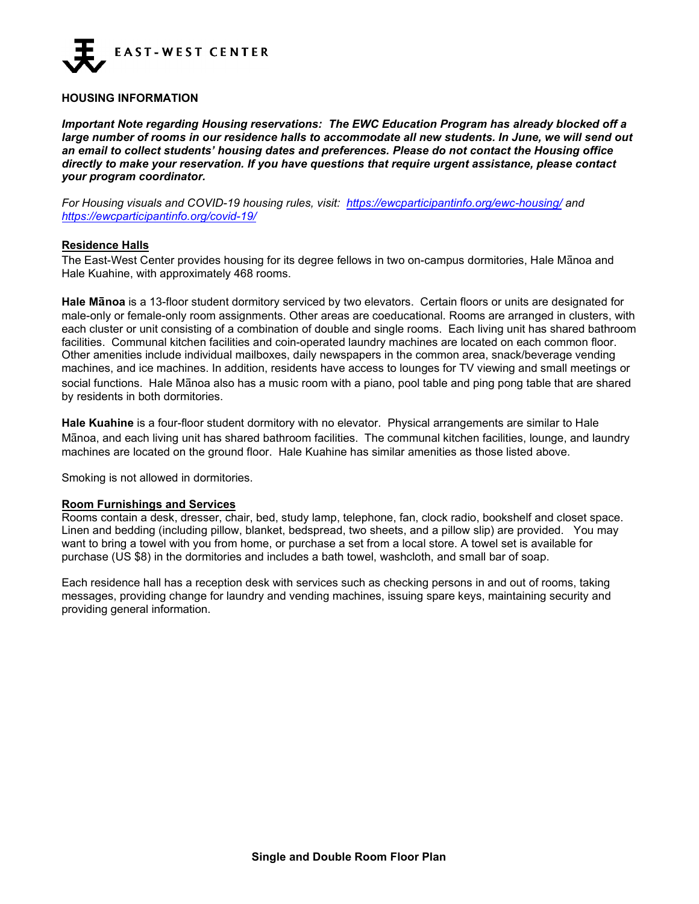

#### **HOUSING INFORMATION**

*Important Note regarding Housing reservations: The EWC Education Program has already blocked off a large number of rooms in our residence halls to accommodate all new students. In June, we will send out an email to collect students' housing dates and preferences. Please do not contact the Housing office directly to make your reservation. If you have questions that require urgent assistance, please contact your program coordinator.*

*For Housing visuals and COVID-19 housing rules, visit: <https://ewcparticipantinfo.org/ewc-housing/> and <https://ewcparticipantinfo.org/covid-19/>*

#### **Residence Halls**

The East-West Center provides housing for its degree fellows in two on-campus dormitories, Hale Mānoa and Hale Kuahine, with approximately 468 rooms.

**Hale Mānoa** is a 13-floor student dormitory serviced by two elevators. Certain floors or units are designated for male-only or female-only room assignments. Other areas are coeducational. Rooms are arranged in clusters, with each cluster or unit consisting of a combination of double and single rooms. Each living unit has shared bathroom facilities. Communal kitchen facilities and coin-operated laundry machines are located on each common floor. Other amenities include individual mailboxes, daily newspapers in the common area, snack/beverage vending machines, and ice machines. In addition, residents have access to lounges for TV viewing and small meetings or social functions. Hale Mānoa also has a music room with a piano, pool table and ping pong table that are shared by residents in both dormitories.

**Hale Kuahine** is a four-floor student dormitory with no elevator. Physical arrangements are similar to Hale Mānoa, and each living unit has shared bathroom facilities. The communal kitchen facilities, lounge, and laundry machines are located on the ground floor. Hale Kuahine has similar amenities as those listed above.

Smoking is not allowed in dormitories.

#### **Room Furnishings and Services**

Rooms contain a desk, dresser, chair, bed, study lamp, telephone, fan, clock radio, bookshelf and closet space. Linen and bedding (including pillow, blanket, bedspread, two sheets, and a pillow slip) are provided. You may want to bring a towel with you from home, or purchase a set from a local store. A towel set is available for purchase (US \$8) in the dormitories and includes a bath towel, washcloth, and small bar of soap.

Each residence hall has a reception desk with services such as checking persons in and out of rooms, taking messages, providing change for laundry and vending machines, issuing spare keys, maintaining security and providing general information.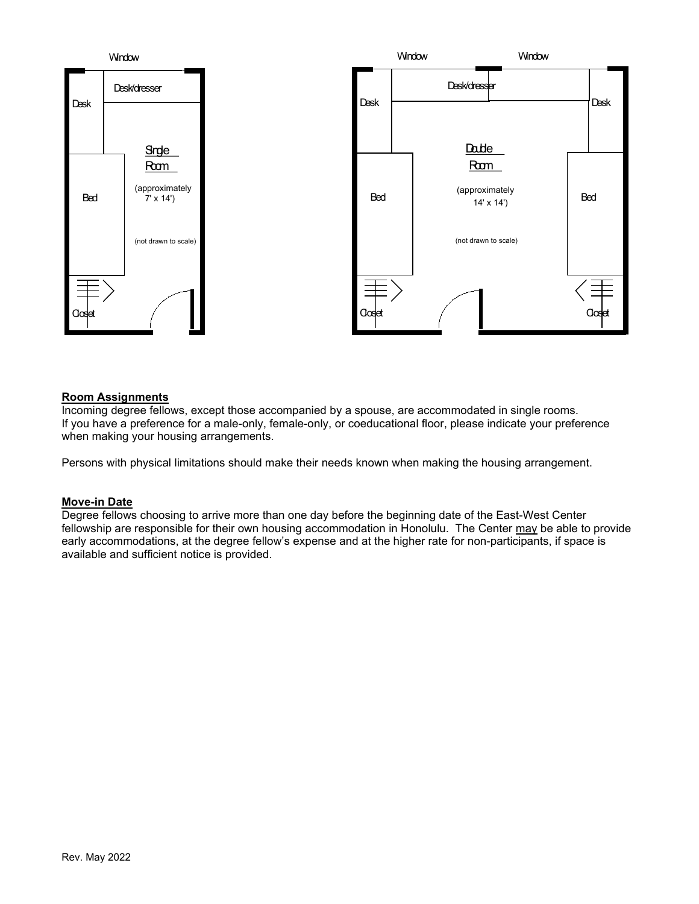

#### **Room Assignments**

Incoming degree fellows, except those accompanied by a spouse, are accommodated in single rooms. If you have a preference for a male-only, female-only, or coeducational floor, please indicate your preference when making your housing arrangements.

Persons with physical limitations should make their needs known when making the housing arrangement.

#### **Move-in Date**

Degree fellows choosing to arrive more than one day before the beginning date of the East-West Center fellowship are responsible for their own housing accommodation in Honolulu. The Center may be able to provide early accommodations, at the degree fellow's expense and at the higher rate for non-participants, if space is available and sufficient notice is provided.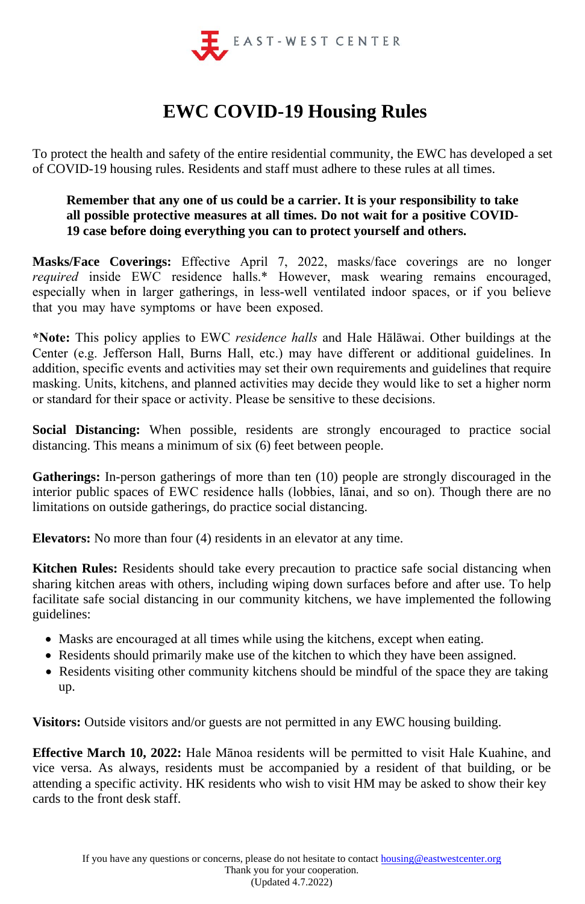

## **EWC COVID-19 Housing Rules**

To protect the health and safety of the entire residential community, the EWC has developed a set of COVID-19 housing rules. Residents and staff must adhere to these rules at all times.

## **Remember that any one of us could be a carrier. It is your responsibility to take all possible protective measures at all times. Do not wait for a positive COVID-19 case before doing everything you can to protect yourself and others.**

**Masks/Face Coverings:** Effective April 7, 2022, masks/face coverings are no longer *required* inside EWC residence halls.\* However, mask wearing remains encouraged, especially when in larger gatherings, in less-well ventilated indoor spaces, or if you believe that you may have symptoms or have been exposed.

**\*Note:** This policy applies to EWC *residence halls* and Hale Hālāwai. Other buildings at the Center (e.g. Jefferson Hall, Burns Hall, etc.) may have different or additional guidelines. In addition, specific events and activities may set their own requirements and guidelines that require masking. Units, kitchens, and planned activities may decide they would like to set a higher norm or standard for their space or activity. Please be sensitive to these decisions.

**Social Distancing:** When possible, residents are strongly encouraged to practice social distancing. This means a minimum of six (6) feet between people.

**Gatherings:** In-person gatherings of more than ten (10) people are strongly discouraged in the interior public spaces of EWC residence halls (lobbies, lānai, and so on). Though there are no limitations on outside gatherings, do practice social distancing.

**Elevators:** No more than four (4) residents in an elevator at any time.

**Kitchen Rules:** Residents should take every precaution to practice safe social distancing when sharing kitchen areas with others, including wiping down surfaces before and after use. To help facilitate safe social distancing in our community kitchens, we have implemented the following guidelines:

- Masks are encouraged at all times while using the kitchens, except when eating.
- Residents should primarily make use of the kitchen to which they have been assigned.
- Residents visiting other community kitchens should be mindful of the space they are taking up.

**Visitors:** Outside visitors and/or guests are not permitted in any EWC housing building.

**Effective March 10, 2022:** Hale Mānoa residents will be permitted to visit Hale Kuahine, and vice versa. As always, residents must be accompanied by a resident of that building, or be attending a specific activity. HK residents who wish to visit HM may be asked to show their key cards to the front desk staff.

If you have any questions or concerns, please do not hesitate to contact housing@eastwestcenter.org Thank you for your cooperation. (Updated 4.7.2022)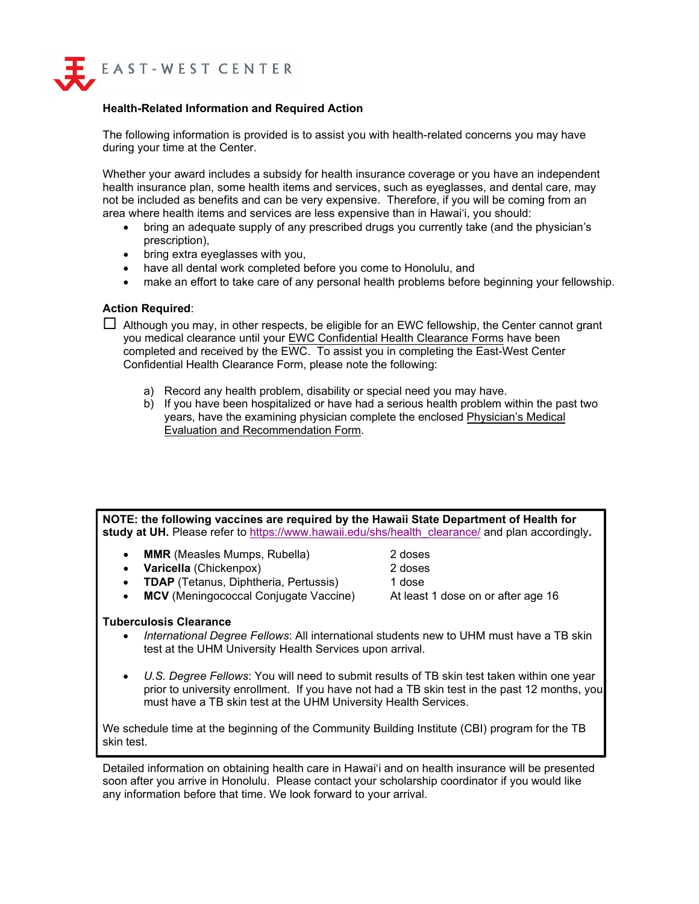

#### **Health-Related Information and Required Action**

The following information is provided is to assist you with health-related concerns you may have during your time at the Center.

Whether your award includes a subsidy for health insurance coverage or you have an independent health insurance plan, some health items and services, such as eyeglasses, and dental care, may not be included as benefits and can be very expensive. Therefore, if you will be coming from an area where health items and services are less expensive than in Hawai'i, you should:

- bring an adequate supply of any prescribed drugs you currently take (and the physician's prescription),
- bring extra eyeglasses with you,
- have all dental work completed before you come to Honolulu, and
- make an effort to take care of any personal health problems before beginning your fellowship.

#### **Action Required**:

 $\Box$  Although you may, in other respects, be eligible for an EWC fellowship, the Center cannot grant you medical clearance until your EWC Confidential Health Clearance Forms have been completed and received by the EWC. To assist you in completing the East-West Center Confidential Health Clearance Form, please note the following:

- a) Record any health problem, disability or special need you may have.
- b) If you have been hospitalized or have had a serious health problem within the past two years, have the examining physician complete the enclosed Physician's Medical Evaluation and Recommendation Form.

**NOTE: the following vaccines are required by the Hawaii State Department of Health for study at UH.** [Please refer to](https://hilo.hawaii.edu/studentaffairs/health/healthrqts.php) [https://www.hawaii.edu/shs/health\\_clearance/](https://www.hawaii.edu/shs/health_clearance/) and plan accordingly**.** 

- **MMR** (Measles Mumps, Rubella) 2 doses
- **Varicella** (Chickenpox) 2 doses
- **TDAP** (Tetanus, Diphtheria, Pertussis) 1 dose
- **MCV** (Meningococcal Conjugate Vaccine) At least 1 dose on or after age 16
- **Tuberculosis Clearance**
	- *International Degree Fellows*: All international students new to UHM must have a TB skin test at the UHM University Health Services upon arrival.
	- *U.S. Degree Fellows*: You will need to submit results of TB skin test taken within one year prior to university enrollment. If you have not had a TB skin test in the past 12 months, you must have a TB skin test at the UHM University Health Services.

We schedule time at the beginning of the Community Building Institute (CBI) program for the TB skin test.

Detailed information on obtaining health care in Hawai'i and on health insurance will be presented soon after you arrive in Honolulu. Please contact your scholarship coordinator if you would like any information before that time. We look forward to your arrival.

- 
- 
- 

- 
-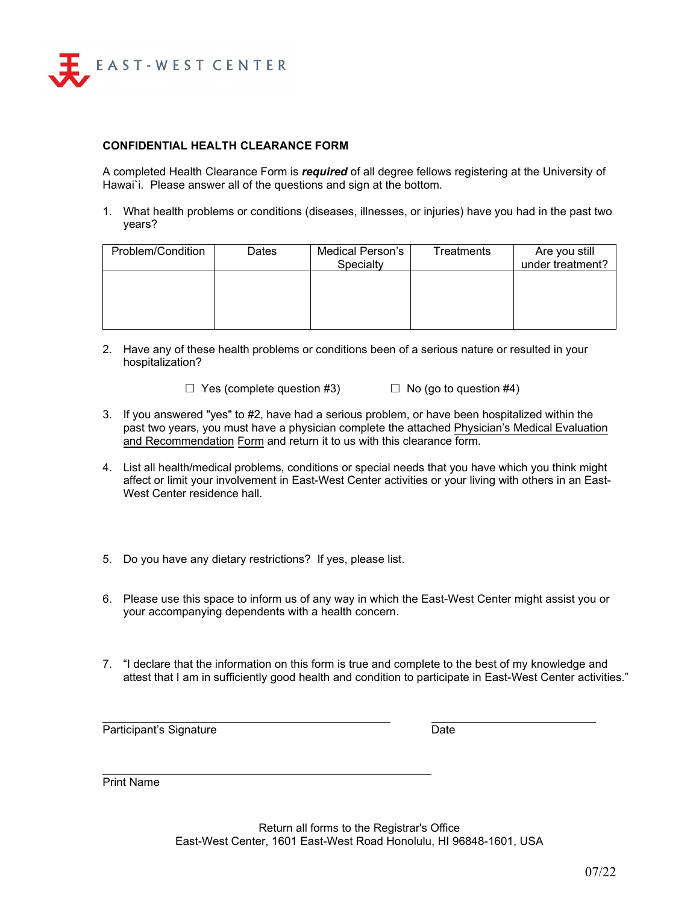

#### **CONFIDENTIAL HEALTH CLEARANCE FORM**

A completed Health Clearance Form is *required* of all degree fellows registering at the University of Hawai`i. Please answer all of the questions and sign at the bottom.

1. What health problems or conditions (diseases, illnesses, or injuries) have you had in the past two years?

| Problem/Condition | Dates | Medical Person's | Treatments | Are you still    |
|-------------------|-------|------------------|------------|------------------|
|                   |       | Specialty        |            | under treatment? |
|                   |       |                  |            |                  |
|                   |       |                  |            |                  |
|                   |       |                  |            |                  |
|                   |       |                  |            |                  |
|                   |       |                  |            |                  |
|                   |       |                  |            |                  |

2. Have any of these health problems or conditions been of a serious nature or resulted in your hospitalization?

 $\Box$  Yes (complete question #3)  $\Box$  No (go to question #4)

- 3. If you answered "yes" to #2, have had a serious problem, or have been hospitalized within the past two years, you must have a physician complete the attached Physician's Medical Evaluation and Recommendation Form and return it to us with this clearance form.
- 4. List all health/medical problems, conditions or special needs that you have which you think might affect or limit your involvement in East-West Center activities or your living with others in an East-West Center residence hall.
- 5. Do you have any dietary restrictions? If yes, please list.
- 6. Please use this space to inform us of any way in which the East-West Center might assist you or your accompanying dependents with a health concern.
- 7. "I declare that the information on this form is true and complete to the best of my knowledge and attest that I am in sufficiently good health and condition to participate in East-West Center activities."

Participant's Signature **Date** Date

Print Name

Return all forms to the Registrar's Office East-West Center, 1601 East-West Road Honolulu, HI 96848-1601, USA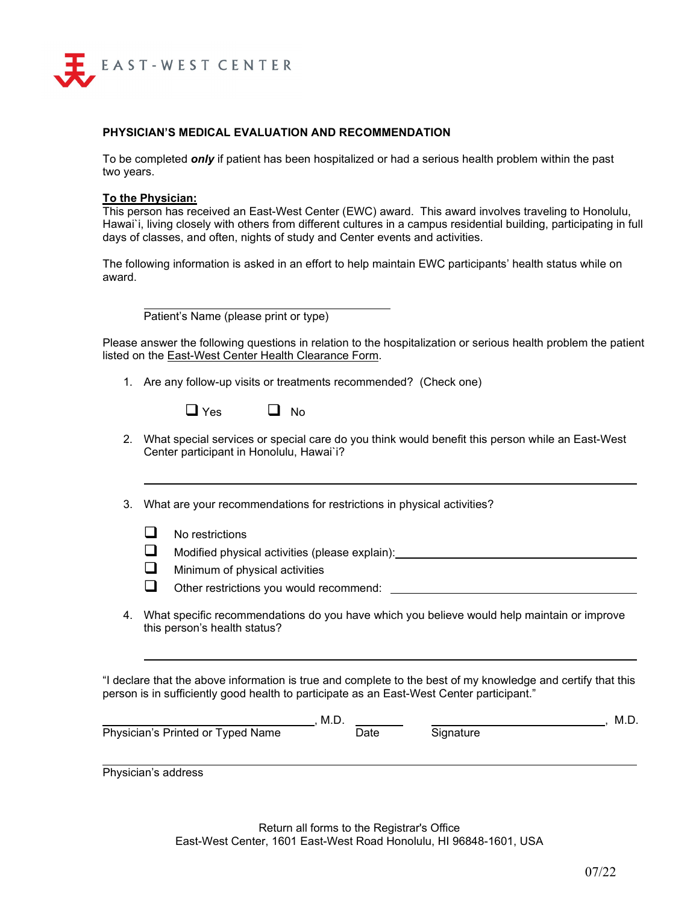

#### **PHYSICIAN'S MEDICAL EVALUATION AND RECOMMENDATION**

To be completed *only* if patient has been hospitalized or had a serious health problem within the past two years.

#### **To the Physician:**

This person has received an East-West Center (EWC) award. This award involves traveling to Honolulu, Hawai`i, living closely with others from different cultures in a campus residential building, participating in full days of classes, and often, nights of study and Center events and activities.

The following information is asked in an effort to help maintain EWC participants' health status while on award.

Patient's Name (please print or type)

Please answer the following questions in relation to the hospitalization or serious health problem the patient listed on the East-West Center Health Clearance Form.

1. Are any follow-up visits or treatments recommended? (Check one)

| $\Box$ Yes |  | <b>No</b> |
|------------|--|-----------|
|------------|--|-----------|

2. What special services or special care do you think would benefit this person while an East-West Center participant in Honolulu, Hawai`i?

3. What are your recommendations for restrictions in physical activities?

- $\Box$  No restrictions
- **a** Modified physical activities (please explain):
- $\Box$  Minimum of physical activities
- Other restrictions you would recommend:
- 4. What specific recommendations do you have which you believe would help maintain or improve this person's health status?

"I declare that the above information is true and complete to the best of my knowledge and certify that this person is in sufficiently good health to participate as an East-West Center participant."

|                                   | M.D. |           | M.D. |
|-----------------------------------|------|-----------|------|
| Physician's Printed or Typed Name | Date | Signature |      |
|                                   |      |           |      |

Physician's address

Return all forms to the Registrar's Office East-West Center, 1601 East-West Road Honolulu, HI 96848-1601, USA